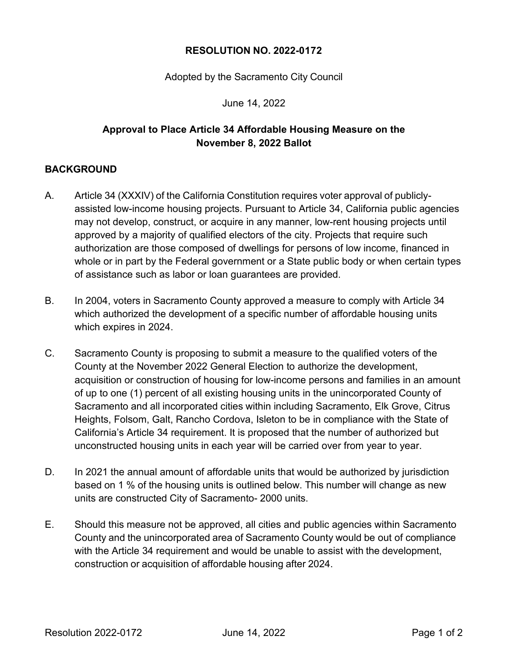## **RESOLUTION NO. 2022-0172**

Adopted by the Sacramento City Council

June 14, 2022

## **Approval to Place Article 34 Affordable Housing Measure on the November 8, 2022 Ballot**

## **BACKGROUND**

- A. Article 34 (XXXIV) of the California Constitution requires voter approval of publiclyassisted low-income housing projects. Pursuant to Article 34, California public agencies may not develop, construct, or acquire in any manner, low-rent housing projects until approved by a majority of qualified electors of the city. Projects that require such authorization are those composed of dwellings for persons of low income, financed in whole or in part by the Federal government or a State public body or when certain types of assistance such as labor or loan guarantees are provided.
- B. In 2004, voters in Sacramento County approved a measure to comply with Article 34 which authorized the development of a specific number of affordable housing units which expires in 2024.
- C. Sacramento County is proposing to submit a measure to the qualified voters of the County at the November 2022 General Election to authorize the development, acquisition or construction of housing for low-income persons and families in an amount of up to one (1) percent of all existing housing units in the unincorporated County of Sacramento and all incorporated cities within including Sacramento, Elk Grove, Citrus Heights, Folsom, Galt, Rancho Cordova, Isleton to be in compliance with the State of California's Article 34 requirement. It is proposed that the number of authorized but unconstructed housing units in each year will be carried over from year to year.
- D. In 2021 the annual amount of affordable units that would be authorized by jurisdiction based on 1 % of the housing units is outlined below. This number will change as new units are constructed City of Sacramento- 2000 units.
- E. Should this measure not be approved, all cities and public agencies within Sacramento County and the unincorporated area of Sacramento County would be out of compliance with the Article 34 requirement and would be unable to assist with the development, construction or acquisition of affordable housing after 2024.